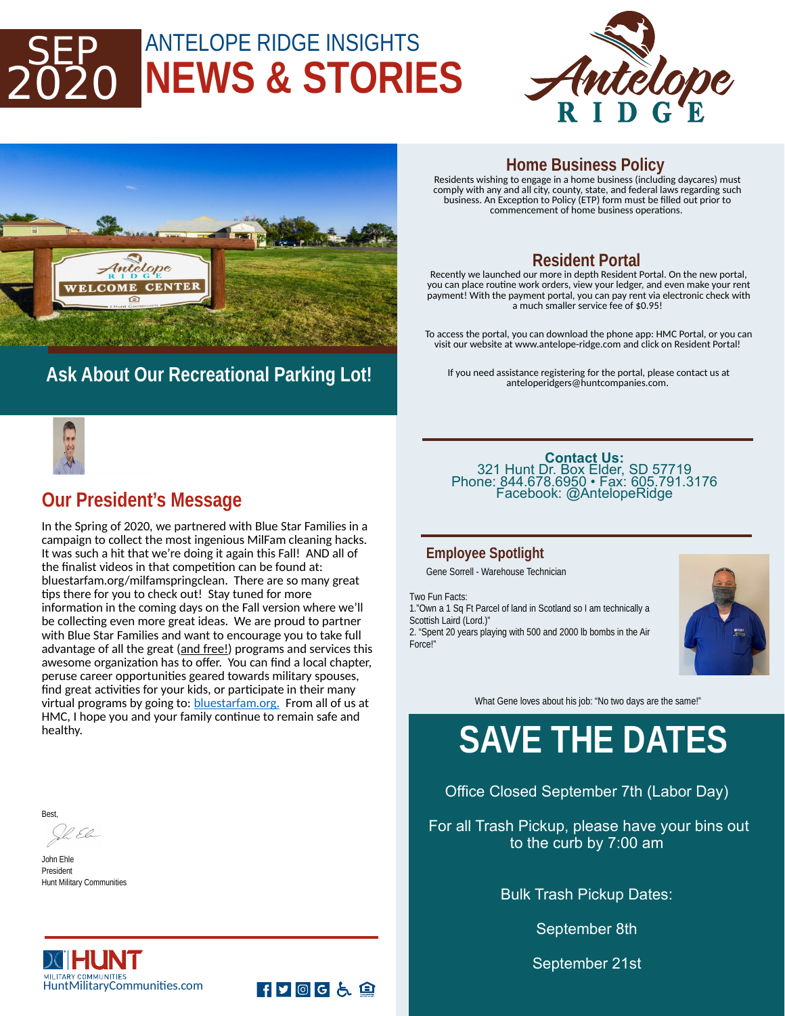## ANTELOPE RIDGE INSIGHTS **NEWS & STORIES** 2020





## **Ask About Our Recreational Parking Lot!**

#### **Home Business Policy**

Residents wishing to engage in a home business (including daycares) must comply with any and all city, county, state, and federal laws regarding such business. An Exception to Policy (ETP) form must be filled out prior to commencement of home business operations.

### **Resident Portal**

Recently we launched our more in depth Resident Portal. On the new portal, you can place routine work orders, view your ledger, and even make your rent payment! With the payment portal, you can pay rent via electronic check with a much smaller service fee of \$0.95!

To access the portal, you can download the phone app: HMC Portal, or you can visit our website at www.antelope-ridge.com and click on Resident Portal!

If you need assistance registering for the portal, please contact us at anteloperidgers@huntcompanies.com.



### **Our President's Message**

In the Spring of 2020, we partnered with Blue Star Families in a campaign to collect the most ingenious MilFam cleaning hacks. It was such a hit that we're doing it again this Fall! AND all of the finalist videos in that competition can be found at: bluestarfam.org/milfamspringclean. There are so many great tips there for you to check out! Stay tuned for more information in the coming days on the Fall version where we'll be collecting even more great ideas. We are proud to partner with Blue Star Families and want to encourage you to take full advantage of all the great (and free!) programs and services this awesome organization has to offer. You can find a local chapter, peruse career opportunities geared towards military spouses, find great activities for your kids, or participate in their many virtual programs by going to: **bluestarfam.org.** From all of us at HMC, I hope you and your family continue to remain safe and healthy.

**Best** 

R.El

John Ehle President Hunt Military Communities

X HUNT

MILITARY COMMUNITIES<br>HuntMilitaryCommunities.com

**Contact Us:**  321 Hunt Dr. Box Elder, SD 57719 Phone: 844.678.6950 • Fax: 605.791.3176 Facebook: @AntelopeRidge

#### **Employee Spotlight**

Gene Sorrell - Warehouse Technician

Two Fun Facts:

1."Own a 1 Sq Ft Parcel of land in Scotland so I am technically a Scottish Laird (Lord.)"

2. "Spent 20 years playing with 500 and 2000 lb bombs in the Air Force!"



What Gene loves about his job: "No two days are the same!"

# **SAVE THE DATES**

Office Closed September 7th (Labor Day)

For all Trash Pickup, please have your bins out to the curb by 7:00 am

Bulk Trash Pickup Dates:

September 8th

September 21st